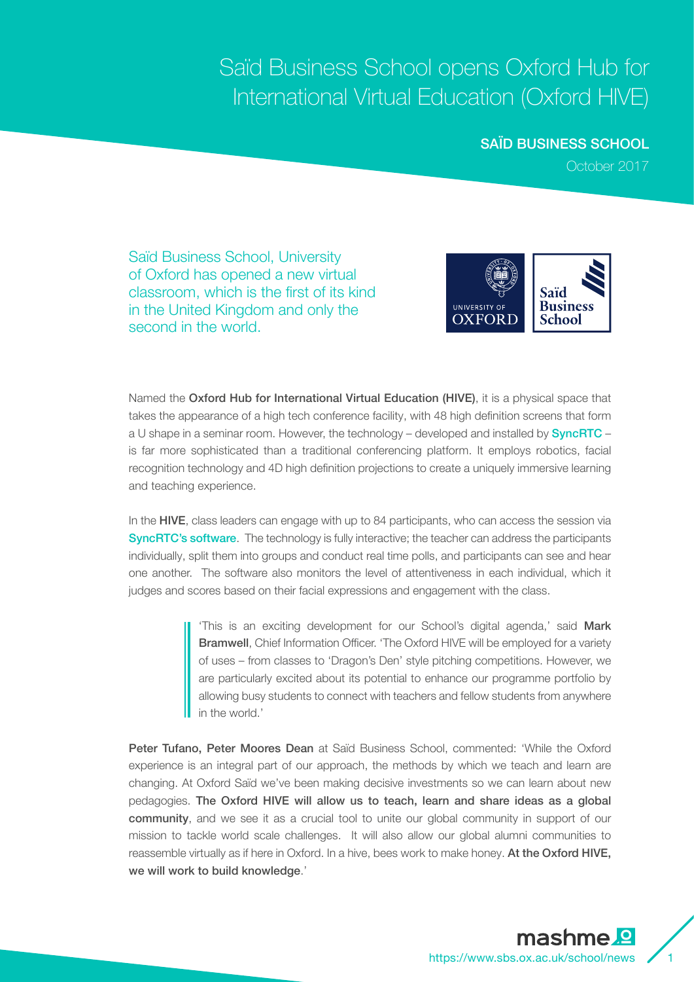## Saïd Business School opens Oxford Hub for International Virtual Education (Oxford HIVE)

## SAÏD BUSINESS SCHOOL

October 2017

Saïd Business School, University of Oxford has opened a new virtual classroom, which is the first of its kind in the United Kingdom and only the second in the world.



Named the Oxford Hub for International Virtual Education (HIVE), it is a physical space that takes the appearance of a high tech conference facility, with 48 high definition screens that form a U shape in a seminar room. However, the technology – developed and installed by **SyncRTC** – is far more sophisticated than a traditional conferencing platform. It employs robotics, facial recognition technology and 4D high definition projections to create a uniquely immersive learning and teaching experience.

In the HIVE, class leaders can engage with up to 84 participants, who can access the session via SyncRTC's software. The technology is fully interactive; the teacher can address the participants individually, split them into groups and conduct real time polls, and participants can see and hear one another. The software also monitors the level of attentiveness in each individual, which it judges and scores based on their facial expressions and engagement with the class.

> 'This is an exciting development for our School's digital agenda,' said Mark Bramwell, Chief Information Officer. 'The Oxford HIVE will be employed for a variety of uses – from classes to 'Dragon's Den' style pitching competitions. However, we are particularly excited about its potential to enhance our programme portfolio by allowing busy students to connect with teachers and fellow students from anywhere in the world.'

Peter Tufano, Peter Moores Dean at Saïd Business School, commented: 'While the Oxford experience is an integral part of our approach, the methods by which we teach and learn are changing. At Oxford Saïd we've been making decisive investments so we can learn about new pedagogies. The Oxford HIVE will allow us to teach, learn and share ideas as a global community, and we see it as a crucial tool to unite our global community in support of our mission to tackle world scale challenges. It will also allow our global alumni communities to reassemble virtually as if here in Oxford. In a hive, bees work to make honey. At the Oxford HIVE, we will work to build knowledge.'